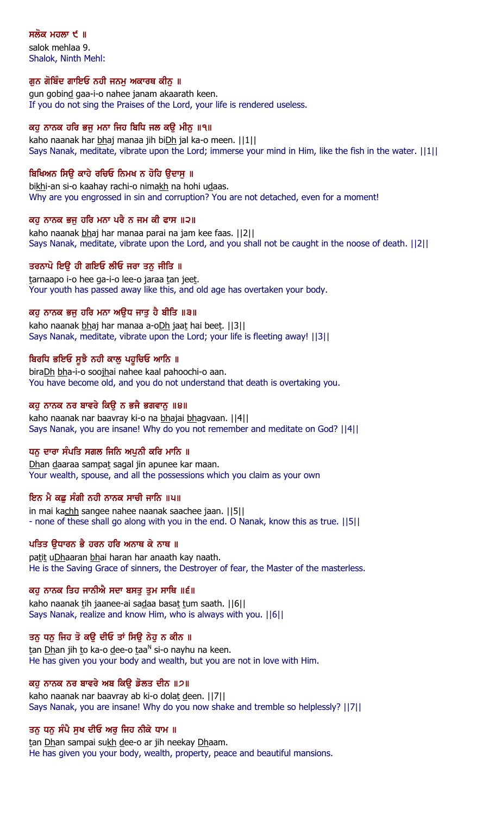## ਸਲੋਕ ਮਹਲਾ  $\epsilon$  ॥

salok mehlaa 9. Shalok, Ninth Mehl:

#### ਗੁਨ ਗੋਬਿੰਦ ਗਾਇਓ ਨਹੀ ਜਨਮੂ ਅਕਾਰਥ ਕੀਨੂ ॥

gun gobind gaa-i-o nahee janam akaarath keen. If you do not sing the Praises of the Lord, your life is rendered useless.

#### ਕਹੁ ਨਾਨਕ ਹਰਿ ਭਜੁ ਮਨਾ ਜਿਹ ਬਿਧਿ ਜਲ ਕਉ ਮੀਨੁ ॥੧॥

kaho naanak har bhaj manaa jih biDh jal ka-o meen. ||1|| Says Nanak, meditate, vibrate upon the Lord; immerse your mind in Him, like the fish in the water. ||1||

#### ਬਿਖਿਅਨ ਸਿਉ ਕਾਹੇ ਰਚਿਓ ਨਿਮਖ ਨ ਹੋਹਿ ਉਦਾਸੁ ॥

bikhi-an si-o kaahay rachi-o nimakh na hohi udaas. Why are you engrossed in sin and corruption? You are not detached, even for a moment!

#### ਕਹ ਨਾਨਕ ਭਜ ਹਰਿ ਮਨਾ ਪਰੈ ਨ ਜਮ ਕੀ ਫਾਸ ॥੨॥

kaho naanak bhaj har manaa parai na jam kee faas. ||2|| Says Nanak, meditate, vibrate upon the Lord, and you shall not be caught in the noose of death. ||2||

#### ਤਰਨਾਪੋ ਇੳ ਹੀ ਗਇਓ ਲੀਓ ਜਰਾ ਤਨ ਜੀਤਿ ॥

tarnaapo i-o hee ga-i-o lee-o jaraa tan jeet. Your youth has passed away like this, and old age has overtaken your body.

#### ਕਹ ਨਾਨਕ ਭਜ ਹਰਿ ਮਨਾ ਅੳਧ ਜਾਤ ਹੈ ਬੀਤਿ ॥੩॥

kaho naanak bhaj har manaa a-oDh jaat hai beet. ||3|| Says Nanak, meditate, vibrate upon the Lord; your life is fleeting away! ||3||

#### ਬਿਰਧਿ ਭਇਓ ਸੁਝੈ ਨਹੀ ਕਾਲੂ ਪਹੁਚਿਓ ਆਨਿ ॥

biraDh bha-i-o soojhai nahee kaal pahoochi-o aan. You have become old, and you do not understand that death is overtaking you.

#### ਕਹੁ ਨਾਨਕ ਨਰ ਬਾਵਰੇ ਕਿਉ ਨ ਭਜੈ ਭਗਵਾਨੁ ॥੪॥

kaho naanak nar baavray ki-o na bhajai bhagvaan. ||4|| Says Nanak, you are insane! Why do you not remember and meditate on God? ||4||

#### ਧਨ ਦਾਰਾ ਸੰਪਤਿ ਸਗਲ ਜਿਨਿ ਅਪਨੀ ਕਰਿ ਮਾਨਿ ॥

Dhan daaraa sampat sagal jin apunee kar maan. Your wealth, spouse, and all the possessions which you claim as your own

#### ਇਨ ਮੈ ਕਛ ਸੰਗੀ ਨਹੀ ਨਾਨਕ ਸਾਚੀ ਜਾਨਿ ॥੫॥

in mai kachh sangee nahee naanak saachee jaan. ||5|| - none of these shall go along with you in the end. O Nanak, know this as true. ||5||

#### ਪਤਿਤ ੳਧਾਰਨ ਭੈ ਹਰਨ ਹਰਿ ਅਨਾਥ ਕੇ ਨਾਥ ॥

patit uDhaaran bhai haran har anaath kay naath. He is the Saving Grace of sinners, the Destroyer of fear, the Master of the masterless.

#### ਕਹੁ ਨਾਨਕ ਤਿਹ ਜਾਨੀਐ ਸਦਾ ਬਸਤੁ ਤੁਮ ਸਾਥਿ ॥੬॥

kaho naanak tih jaanee-ai sadaa basat tum saath. [6] Says Nanak, realize and know Him, who is always with you. ||6||

#### ਤਨੂ ਧਨੂ ਜਿਹ ਤੋ ਕਉ ਦੀਓ ਤਾਂ ਸਿਉ ਨੇਹੂ ਨ ਕੀਨ ॥

<u>t</u>an <u>Dh</u>an jih <u>t</u>o ka-o <u>d</u>ee-o <u>t</u>aa<sup>n</sup> si-o nayhu na keen. He has given you your body and wealth, but you are not in love with Him.

#### ਕਹੁ ਨਾਨਕ ਨਰ ਬਾਵਰੇ ਅਬ ਕਿਉ ਡੋਲਤ ਦੀਨ ॥੭॥

kaho naanak nar baavray ab ki-o dolat deen. ||7|| Says Nanak, you are insane! Why do you now shake and tremble so helplessly? ||7||

#### ਤਨ ਧਨ ਸੰਪੈ ਸੁਖ ਦੀਓ ਅਰੁ ਜਿਹ ਨੀਕੇ ਧਾਮ ॥

tan Dhan sampai sukh dee-o ar jih neekay Dhaam. He has given you your body, wealth, property, peace and beautiful mansions.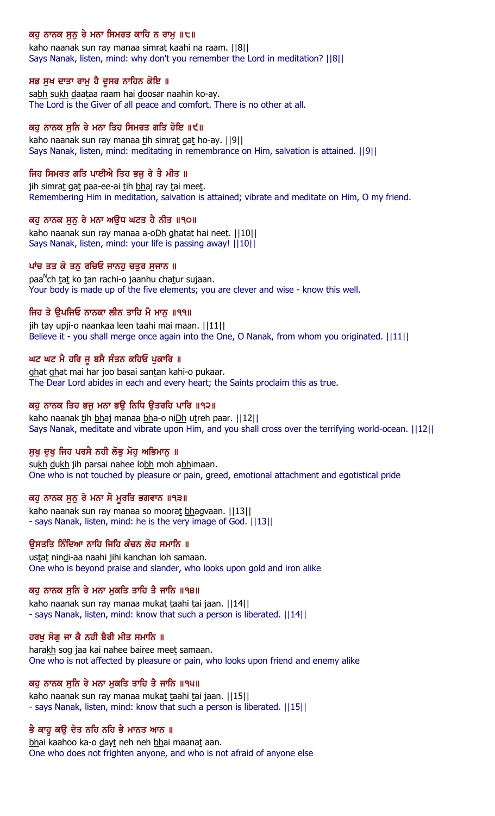## ਕਹੁ ਨਾਨਕ ਸੁਨੁ ਰੇ ਮਨਾ ਸਿਮਰਤ ਕਾਹਿ ਨ ਰਾਮੁ ॥੮॥

kaho naanak sun ray manaa simrat kaahi na raam. | 8|| Says Nanak, listen, mind: why don't you remember the Lord in meditation? ||8||

#### ਸਭ ਸੁਖ ਦਾਤਾ ਰਾਮੁ ਹੈ ਦੁਸਰ ਨਾਹਿਨ ਕੋਇ ॥

sabh sukh daataa raam hai doosar naahin ko-ay. The Lord is the Giver of all peace and comfort. There is no other at all.

#### ਕਹੁ ਨਾਨਕ ਸੁਨਿ ਰੇ ਮਨਾ ਤਿਹ ਸਿਮਰਤ ਗਤਿ ਹੋਇ ॥੯॥

kaho naanak sun ray manaa tih simrat gat ho-ay. ||9|| Says Nanak, listen, mind: meditating in remembrance on Him, salvation is attained. ||9||

#### ਜਿਹ ਸਿਮਰਤ ਗਤਿ ਪਾਈਐ ਤਿਹ ਭਜੂ ਰੇ ਤੈ ਮੀਤ ॥

jih simrat gat paa-ee-ai tih bhaj ray tai meet. Remembering Him in meditation, salvation is attained; vibrate and meditate on Him, O my friend.

#### ਕਹੂ ਨਾਨਕ ਸੁਨੂ ਰੇ ਮਨਾ ਅਉਧ ਘਟਤ ਹੈ ਨੀਤ ॥੧੦॥

kaho naanak sun ray manaa a-oDh ghatat hai neet. ||10|| Says Nanak, listen, mind: your life is passing away! ||10||

#### ਪਾਂਚ ਤਤ ਕੋ ਤਨ ਰਚਿਓ ਜਾਨਹ ਚਤਰ ਸਜਾਨ ॥

paa<sup>n</sup>ch <u>tat</u> ko <u>t</u>an rachi-o jaanhu cha<u>t</u>ur sujaan. Your body is made up of the five elements; you are clever and wise - know this well.

#### ਜਿਹ ਤੇ ੳਪਜਿਓ ਨਾਨਕਾ ਲੀਨ ਤਾਹਿ ਮੈ ਮਾਨ ॥੧੧॥

jih tay upji-o naankaa leen taahi mai maan.  $||11||$ Believe it - you shall merge once again into the One, O Nanak, from whom you originated.  $||11||$ 

#### ਘਟ ਘਟ ਮੈ ਹਰਿ ਜੂ ਬਸੈ ਸੰਤਨ ਕਹਿਓ ਪੁਕਾਰਿ ॥

ghat ghat mai har joo basai santan kahi-o pukaar. The Dear Lord abides in each and every heart; the Saints proclaim this as true.

#### ਕਹੁ ਨਾਨਕ ਤਿਹ ਭਜੁ ਮਨਾ ਭਉ ਨਿਧਿ ਉਤਰਹਿ ਪਾਰਿ ॥੧੨॥

kaho naanak tih bhaj manaa bha-o niDh utreh paar. [12] Says Nanak, meditate and vibrate upon Him, and you shall cross over the terrifying world-ocean. ||12||

## ਸੁਖ ਦੁਖ ਜਿਹ ਪਰਸੈ ਨਹੀ ਲੋਭੂ ਮੋਹੂ ਅਭਿਮਾਨੂ ॥

sukh dukh jih parsai nahee lobh moh abhimaan. One who is not touched by pleasure or pain, greed, emotional attachment and egotistical pride

#### ਕਹੁ ਨਾਨਕ ਸੁਨੁ ਰੇ ਮਨਾ ਸੋ ਮੁਰਤਿ ਭਗਵਾਨ ॥੧੩॥

kaho naanak sun ray manaa so moorat bhagvaan. ||13|| - says Nanak, listen, mind: he is the very image of God. ||13||

## ੳਸਤਤਿ ਨਿੰਦਿਆ ਨਾਹਿ ਜਿਹਿ ਕੰਚਨ ਲੋਹ ਸਮਾਨਿ ॥

ustat nindi-aa naahi jihi kanchan loh samaan. One who is beyond praise and slander, who looks upon gold and iron alike

#### ਕਹੁ ਨਾਨਕ ਸੁਨਿ ਰੇ ਮਨਾ ਮੁਕਤਿ ਤਾਹਿ ਤੈ ਜਾਨਿ ॥੧੪॥

kaho naanak sun ray manaa mukat taahi tai jaan. ||14|| - says Nanak, listen, mind: know that such a person is liberated. ||14||

#### ਹਰਖੂ ਸੋਗੂ ਜਾ ਕੈ ਨਹੀ ਬੈਰੀ ਮੀਤ ਸਮਾਨਿ ॥

harakh sog jaa kai nahee bairee meet samaan. One who is not affected by pleasure or pain, who looks upon friend and enemy alike

#### ਕਹੁ ਨਾਨਕ ਸੁਨਿ ਰੇ ਮਨਾ ਮੁਕਤਿ ਤਾਹਿ ਤੈ ਜਾਨਿ ॥੧੫॥

kaho naanak sun ray manaa mukat taahi tai jaan. ||15|| - says Nanak, listen, mind: know that such a person is liberated. ||15||

## ਭੈ ਕਾਹੁ ਕਉ ਦੇਤ ਨਹਿ ਨਹਿ ਭੈ ਮਾਨਤ ਆਨ ॥

bhai kaahoo ka-o dayt neh neh bhai maanat aan. One who does not frighten anyone, and who is not afraid of anyone else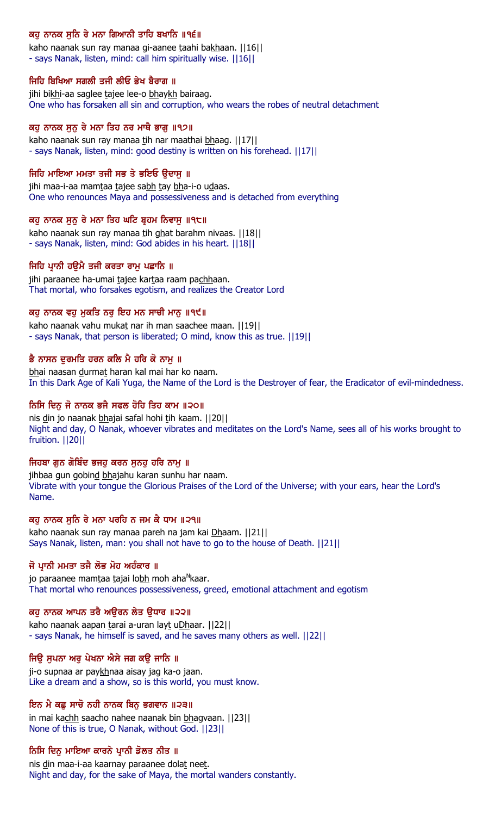## ਕਹੂ ਨਾਨਕ ਸੁਨਿ ਰੇ ਮਨਾ ਗਿਆਨੀ ਤਾਹਿ ਬਖਾਨਿ ॥੧੬॥

kaho naanak sun ray manaa gi-aanee taahi bakhaan. | | 16| | - says Nanak, listen, mind: call him spiritually wise. ||16||

## ਜਿਹਿ ਬਿਖਿਆ ਸਗਲੀ ਤਜੀ ਲੀਓ ਭੇਖ ਬੈਰਾਗ ॥

jihi bikhi-aa saglee tajee lee-o bhaykh bairaag. One who has forsaken all sin and corruption, who wears the robes of neutral detachment

# ਕਹੁ ਨਾਨਕ ਸੁਨੂ ਰੇ ਮਨਾ ਤਿਹ ਨਰ ਮਾਥੈ ਭਾਗੂ ॥੧੭॥

kaho naanak sun ray manaa tih nar maathai bhaag. ||17|| - says Nanak, listen, mind: good destiny is written on his forehead. ||17||

# ਜਿਹਿ ਮਾਇਆ ਮਮਤਾ ਤਜੀ ਸਭ ਤੇ ਭਇਓ ਉਦਾਸੁ ॥

jihi maa-i-aa mamtaa tajee sabh tay bha-i-o udaas. One who renounces Maya and possessiveness and is detached from everything

# ਕਹੂ ਨਾਨਕ ਸੁਨੂ ਰੇ ਮਨਾ ਤਿਹ ਘਟਿ ਬ੍ਰਹਮ ਨਿਵਾਸੂ ॥੧੮॥

kaho naanak sun ray manaa tih ghat barahm nivaas. | | 18| | - says Nanak, listen, mind: God abides in his heart. ||18||

# ਜਿਹਿ ਪਾਨੀ ਹੳਮੈ ਤਜੀ ਕਰਤਾ ਰਾਮ ਪਛਾਨਿ ॥

jihi paraanee ha-umai tajee kartaa raam pachhaan. That mortal, who forsakes egotism, and realizes the Creator Lord

# ਕਹ ਨਾਨਕ ਵਹ ਮਕਤਿ ਨਰ ਇਹ ਮਨ ਸਾਚੀ ਮਾਨ ॥੧੯॥

kaho naanak vahu mukat nar ih man saachee maan. | | 19| | - says Nanak, that person is liberated; O mind, know this as true. ||19||

# ਭੈ ਨਾਸਨ ਦੁਰਮਤਿ ਹਰਨ ਕਲਿ ਮੈ ਹਰਿ ਕੋ ਨਾਮੁ ॥

bhai naasan durmat haran kal mai har ko naam. In this Dark Age of Kali Yuga, the Name of the Lord is the Destroyer of fear, the Eradicator of evil-mindedness.

# ਨਿਸਿ ਦਿਨ ਜੋ ਨਾਨਕ ਭਜੈ ਸਫਲ ਹੋਹਿ ਤਿਹ ਕਾਮ ॥੨੦॥

nis din jo naanak bhajai safal hohi tih kaam. ||20|| Night and day, O Nanak, whoever vibrates and meditates on the Lord's Name, sees all of his works brought to fruition. ||20||

# ਜਿਹਬਾ ਗੁਨ ਗੋਬਿੰਦ ਭਜਹੂ ਕਰਨ ਸੁਨਹੂ ਹਰਿ ਨਾਮੂ ॥

jihbaa gun gobind bhajahu karan sunhu har naam. Vibrate with your tongue the Glorious Praises of the Lord of the Universe; with your ears, hear the Lord's Name.

# ਕਹ ਨਾਨਕ ਸਨਿ ਰੇ ਮਨਾ ਪਰਹਿ ਨ ਜਮ ਕੈ ਧਾਮ ॥੨੧॥

kaho naanak sun ray manaa pareh na jam kai Dhaam. ||21|| Says Nanak, listen, man: you shall not have to go to the house of Death. ||21||

# ਜੋ ਪਾਨੀ ਮਮਤਾ ਤਜੈ ਲੋਭ ਮੋਹ ਅਹੰਕਾਰ ॥

jo paraanee mam<u>t</u>aa <u>t</u>ajai lo<u>bh</u> moh aha<sup>n</sup>kaar. That mortal who renounces possessiveness, greed, emotional attachment and egotism

# ਕਹ ਨਾਨਕ ਆਪਨ ਤਰੈ ਅੳਰਨ ਲੇਤ ੳਧਾਰ ॥੨੨॥

kaho naanak aapan tarai a-uran layt uDhaar. [[22]] - says Nanak, he himself is saved, and he saves many others as well. ||22||

# ਜਿੳ ਸਪਨਾ ਅਰ ਪੇਖਨਾ ਐਸੇ ਜਗ ਕੳ ਜਾਨਿ ॥

ji-o supnaa ar paykhnaa aisay jag ka-o jaan. Like a dream and a show, so is this world, you must know.

# ਇਨ ਮੈ ਕਛੂ ਸਾਚੋ ਨਹੀ ਨਾਨਕ ਬਿਨੂ ਭਗਵਾਨ ॥੨੩॥

in mai kachh saacho nahee naanak bin bhagvaan. ||23|| None of this is true, O Nanak, without God. ||23||

# ਨਿਸਿ ਦਿਨੂ ਮਾਇਆ ਕਾਰਨੇ ਪ੍ਰਾਨੀ ਡੋਲਤ ਨੀਤ ॥

nis din maa-i-aa kaarnay paraanee dolat neet. Night and day, for the sake of Maya, the mortal wanders constantly.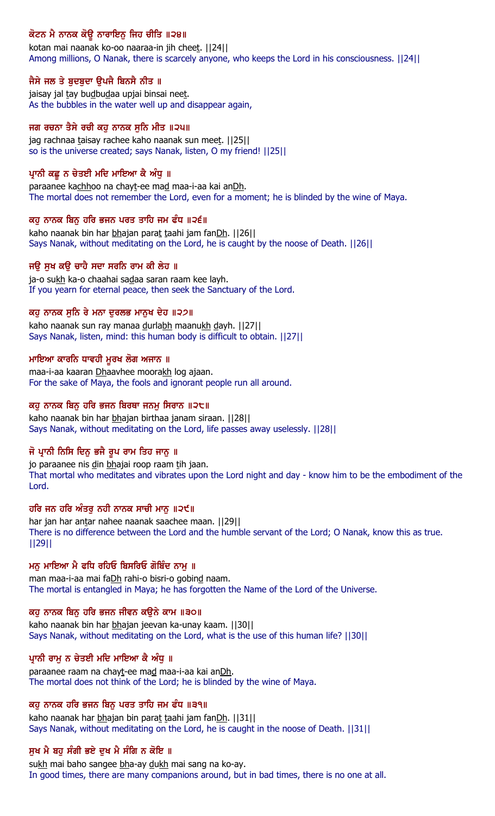# ਕੋਟਨ ਮੈ ਨਾਨਕ ਕੋਊ ਨਾਰਾਇਨੁ ਜਿਹ ਚੀਤਿ ॥੨੪॥

kotan mai naanak ko-oo naaraa-in jih cheet. ||24|| Among millions, O Nanak, there is scarcely anyone, who keeps the Lord in his consciousness. ||24||

## ਜੈਸੇ ਜਲ ਤੇ ਬੁਦਬੁਦਾ ਉਪਜੈ ਬਿਨਸੈ ਨੀਤ ॥

jaisay jal tay budbudaa upjai binsai neet. As the bubbles in the water well up and disappear again,

## ਜਗ ਰਚਨਾ ਤੈਸੇ ਰਚੀ ਕਹੁ ਨਾਨਕ ਸੁਨਿ ਮੀਤ ॥੨੫॥

jag rachnaa taisay rachee kaho naanak sun meet. [[25]] so is the universe created; says Nanak, listen, O my friend! ||25||

## ਪ੍ਰਾਨੀ ਕਛੂ ਨ ਚੇਤਈ ਮਦਿ ਮਾਇਆ ਕੈ ਅੰਧੂ ॥

paraanee kachhoo na chayt-ee mad maa-i-aa kai anDh. The mortal does not remember the Lord, even for a moment; he is blinded by the wine of Maya.

## ਕਹ ਨਾਨਕ ਬਿਨ ਹਰਿ ਭਜਨ ਪਰਤ ਤਾਹਿ ਜਮ ਫੰਧ ॥੨੬॥

kaho naanak bin har bhajan parat taahi jam fanDh. ||26|| Says Nanak, without meditating on the Lord, he is caught by the noose of Death. ||26||

## ਜੳ ਸਖ ਕੳ ਚਾਹੈ ਸਦਾ ਸਰਨਿ ਰਾਮ ਕੀ ਲੇਹ ॥

ja-o sukh ka-o chaahai sadaa saran raam kee layh. If you yearn for eternal peace, then seek the Sanctuary of the Lord.

## ਕਹ ਨਾਨਕ ਸਨਿ ਰੇ ਮਨਾ ਦਰਲਭ ਮਾਨਖ ਦੇਹ ॥੨੭॥

kaho naanak sun ray manaa durlabh maanukh dayh. ||27|| Says Nanak, listen, mind: this human body is difficult to obtain. ||27||

## ਮਾਇਆ ਕਾਰਨਿ ਧਾਵਹੀ ਮੁਰਖ ਲੋਗ ਅਜਾਨ ॥

maa-i-aa kaaran Dhaavhee moorakh log ajaan. For the sake of Maya, the fools and ignorant people run all around.

## ਕਹੁ ਨਾਨਕ ਬਿਨੁ ਹਰਿ ਭਜਨ ਬਿਰਥਾ ਜਨਮੁ ਸਿਰਾਨ ॥੨੮॥

kaho naanak bin har bhajan birthaa janam siraan. ||28|| Says Nanak, without meditating on the Lord, life passes away uselessly. ||28||

## ਜੋ ਪਾਨੀ ਨਿਸਿ ਦਿਨ ਭਜੈ ਰੂਪ ਰਾਮ ਤਿਹ ਜਾਨੂ ॥

jo paraanee nis din bhajai roop raam tih jaan. That mortal who meditates and vibrates upon the Lord night and day - know him to be the embodiment of the Lord.

## ਹਰਿ ਜਨ ਹਰਿ ਅੰਤਰੂ ਨਹੀ ਨਾਨਕ ਸਾਚੀ ਮਾਨੂ ॥੨੯॥

har jan har antar nahee naanak saachee maan. ||29|| There is no difference between the Lord and the humble servant of the Lord; O Nanak, know this as true. ||29||

## ਮਨ ਮਾਇਆ ਮੈ ਫਧਿ ਰਹਿਓ ਬਿਸਰਿਓ ਗੋਬਿੰਦ ਨਾਮ ॥

man maa-i-aa mai faDh rahi-o bisri-o gobind naam. The mortal is entangled in Maya; he has forgotten the Name of the Lord of the Universe.

## ਕਹ ਨਾਨਕ ਬਿਨ ਹਰਿ ਭਜਨ ਜੀਵਨ ਕੳਨੇ ਕਾਮ ॥੩੦॥

kaho naanak bin har bhajan jeevan ka-unay kaam. [[30]] Says Nanak, without meditating on the Lord, what is the use of this human life? ||30||

## ਪ੍ਰਾਨੀ ਰਾਮੂ ਨ ਚੇਤਈ ਮਦਿ ਮਾਇਆ ਕੈ ਅੰਧੂ ॥

paraanee raam na chayt-ee mad maa-i-aa kai anDh. The mortal does not think of the Lord; he is blinded by the wine of Maya.

## ਕਹ ਨਾਨਕ ਹਰਿ ਭਜਨ ਬਿਨ ਪਰਤ ਤਾਹਿ ਜਮ ਫੰਧ ॥੩੧॥

kaho naanak har bhajan bin parat taahi jam fanDh. ||31|| Says Nanak, without meditating on the Lord, he is caught in the noose of Death. ||31||

## ਸੁਖ ਮੈ ਬਹੁ ਸੰਗੀ ਭਏ ਦੁਖ ਮੈ ਸੰਗਿ ਨ ਕੋਇ ॥

sukh mai baho sangee bha-ay dukh mai sang na ko-ay. In good times, there are many companions around, but in bad times, there is no one at all.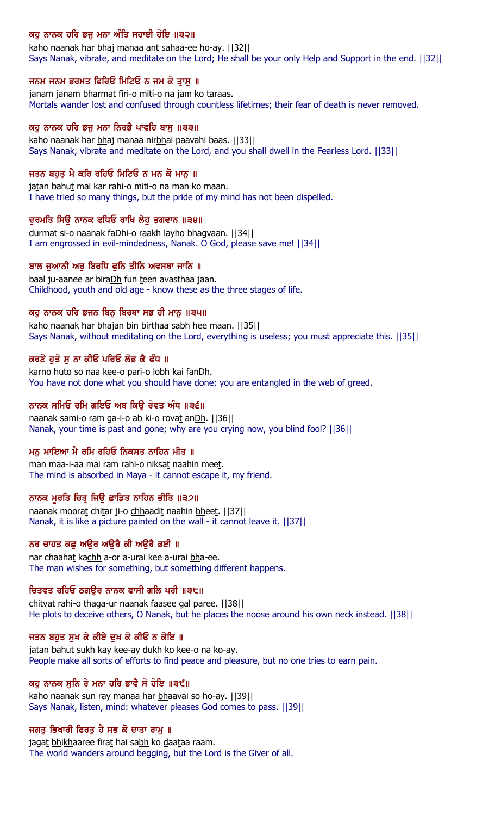## ਕਹੂ ਨਾਨਕ ਹਰਿ ਭਜੂ ਮਨਾ ਅੰਤਿ ਸਹਾਈ ਹੋਇ ॥੩੨॥

kaho naanak har bhaj manaa ant sahaa-ee ho-ay. [[32]] Says Nanak, vibrate, and meditate on the Lord; He shall be your only Help and Support in the end. ||32||

#### ਜਨਮ ਜਨਮ ਭਰਮਤ ਫਿਰਿਓ ਮਿਟਿਓ ਨ ਜਮ ਕੋ ਤ੍ਰਾਸੁ ॥

janam janam bharmat firi-o miti-o na jam ko taraas. Mortals wander lost and confused through countless lifetimes; their fear of death is never removed.

#### ਕਹੁ ਨਾਨਕ ਹਰਿ ਭਜੁ ਮਨਾ ਨਿਰਭੈ ਪਾਵਹਿ ਬਾਸੁ ॥੩੩॥

kaho naanak har bhaj manaa nirbhai paavahi baas. ||33|| Says Nanak, vibrate and meditate on the Lord, and you shall dwell in the Fearless Lord. ||33||

#### ਜਤਨ ਬਹੁਤੁ ਮੈ ਕਰਿ ਰਹਿਓ ਮਿਟਿਓ ਨ ਮਨ ਕੋ ਮਾਨੂ ॥

jatan bahut mai kar rahi-o miti-o na man ko maan. I have tried so many things, but the pride of my mind has not been dispelled.

#### ਦਰਮਤਿ ਸਿੳੇ ਨਾਨਕ ਫਧਿਓ ਰਾਖਿ ਲੇਹ ਭਗਵਾਨ ॥੩੪॥

durmat si-o naanak faDhi-o raakh layho bhagvaan. [[34]] I am engrossed in evil-mindedness, Nanak. O God, please save me! ||34||

#### ਬਾਲ ਜਆਨੀ ਅਰ ਬਿਰਧਿ ਫਨਿ ਤੀਨਿ ਅਵਸਥਾ ਜਾਨਿ ॥

baal ju-aanee ar biraDh fun teen avasthaa jaan. Childhood, youth and old age - know these as the three stages of life.

#### ਕਹ ਨਾਨਕ ਹਰਿ ਭਜਨ ਬਿਨ ਬਿਰਥਾ ਸਭ ਹੀ ਮਾਨ ॥੩੫॥

kaho naanak har bhajan bin birthaa sabh hee maan. [[35]] Says Nanak, without meditating on the Lord, everything is useless; you must appreciate this. ||35||

#### ਕਰਣੋ ਹੁਤੋ ਸੁ ਨਾ ਕੀਓ ਪਰਿਓ ਲੋਭ ਕੈ ਫੰਧ ॥

karno huto so naa kee-o pari-o lobh kai fanDh. You have not done what you should have done; you are entangled in the web of greed.

#### ਨਾਨਕ ਸਮਿਓ ਰਮਿ ਗਇਓ ਅਬ ਕਿੳ ਰੋਵਤ ਅੰਧ ॥੩੬॥

naanak sami-o ram ga-i-o ab ki-o rovat anDh. ||36|| Nanak, your time is past and gone; why are you crying now, you blind fool? ||36||

#### ਮਨ ਮਾਇਆ ਮੈ ਰਮਿ ਰਹਿਓ ਨਿਕਸਤ ਨਾਹਿਨ ਮੀਤ ॥

man maa-i-aa mai ram rahi-o niksat naahin meet. The mind is absorbed in Maya - it cannot escape it, my friend.

## ਨਾਨਕ ਮੂਰਤਿ ਚਿਤ੍ਰ ਜਿਉ ਛਾਡਿਤ ਨਾਹਿਨ ਭੀਤਿ ॥੩੭॥

naanak moorat chitar ji-o chhaadit naahin bheet. ||37|| Nanak, it is like a picture painted on the wall - it cannot leave it. ||37||

#### ਨਰ ਚਾਹਤ ਕਛ ਅੳਰ ਅੳਰੈ ਕੀ ਅੳਰੈ ਭਈ ॥

nar chaahat kachh a-or a-urai kee a-urai bha-ee. The man wishes for something, but something different happens.

#### ਚਿਤਵਤ ਰਹਿਓ ਠਗੳਰ ਨਾਨਕ ਫਾਸੀ ਗਲਿ ਪਰੀ ॥੩੮॥

chitvat rahi-o thaga-ur naanak faasee gal paree. [[38]] He plots to deceive others, O Nanak, but he places the noose around his own neck instead. ||38||

#### ਜਤਨ ਬਹੁਤ ਸੁਖ ਕੇ ਕੀਏ ਦੁਖ ਕੋ ਕੀਓ ਨ ਕੋਇ ॥

jatan bahut sukh kay kee-ay dukh ko kee-o na ko-ay. People make all sorts of efforts to find peace and pleasure, but no one tries to earn pain.

## ਕਹੁ ਨਾਨਕ ਸੁਨਿ ਰੇ ਮਨਾ ਹਰਿ ਭਾਵੈ ਸੋ ਹੋਇ ॥੩੯॥

kaho naanak sun ray manaa har bhaavai so ho-ay. ||39|| Says Nanak, listen, mind: whatever pleases God comes to pass. ||39||

#### ਜਗਤੁ ਭਿਖਾਰੀ ਫਿਰਤੁ ਹੈ ਸਭ ਕੋ ਦਾਤਾ ਰਾਮੁ ॥

jagat bhikhaaree firat hai sabh ko daataa raam. The world wanders around begging, but the Lord is the Giver of all.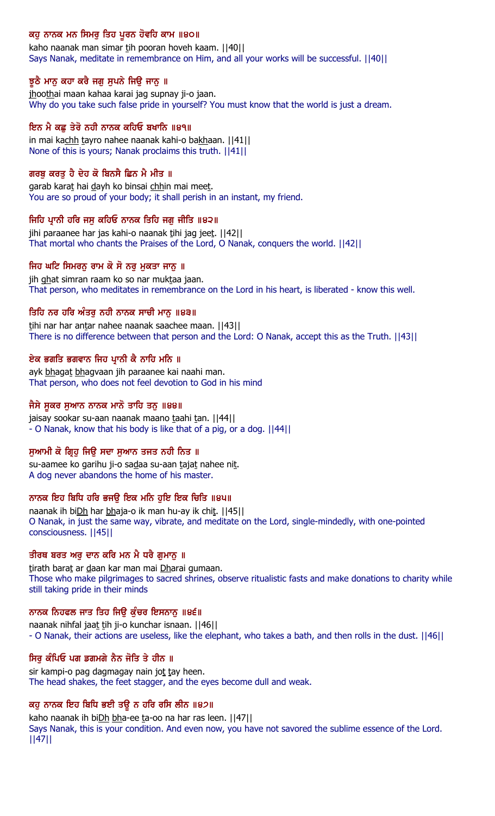## ਕਹੁ ਨਾਨਕ ਮਨ ਸਿਮਰੁ ਤਿਹ ਪੂਰਨ ਹੋਵਹਿ ਕਾਮ ॥੪੦॥

kaho naanak man simar tih pooran hoveh kaam. [[40]] Says Nanak, meditate in remembrance on Him, and all your works will be successful. ||40||

## ਝੁਠੈ ਮਾਨੂ ਕਹਾ ਕਰੈ ਜਗੂ ਸੁਪਨੇ ਜਿਉ ਜਾਨੂ ॥

jhoothai maan kahaa karai jag supnay ji-o jaan. Why do you take such false pride in yourself? You must know that the world is just a dream.

## ਇਨ ਮੈ ਕਛ ਤੇਰੋ ਨਹੀ ਨਾਨਕ ਕਹਿਓ ਬਖਾਨਿ ॥੪੧॥

in mai kachh tayro nahee naanak kahi-o bakhaan. | | 41 | | None of this is yours; Nanak proclaims this truth. ||41||

## ਗਰਬੂ ਕਰਤੂ ਹੈ ਦੇਹ ਕੋ ਬਿਨਸੈ ਛਿਨ ਮੈ ਮੀਤ ॥

garab karat hai dayh ko binsai chhin mai meet. You are so proud of your body; it shall perish in an instant, my friend.

## ਜਿਹਿ ਪਾਨੀ ਹਰਿ ਜਸ ਕਹਿਓ ਨਾਨਕ ਤਿਹਿ ਜਗ ਜੀਤਿ ॥੪੨॥

jihi paraanee har jas kahi-o naanak tihi jag jeet. ||42|| That mortal who chants the Praises of the Lord, O Nanak, conquers the world. ||42||

## ਜਿਹ ਘਟਿ ਸਿਮਰਨ ਰਾਮ ਕੋ ਸੋ ਨਰ ਮਕਤਾ ਜਾਨ ॥

jih ghat simran raam ko so nar muktaa jaan. That person, who meditates in remembrance on the Lord in his heart, is liberated - know this well.

## ਤਿਹਿ ਨਰ ਹਰਿ ਅੰਤਰ ਨਹੀ ਨਾਨਕ ਸਾਚੀ ਮਾਨ ॥੪੩॥

tihi nar har antar nahee naanak saachee maan. [[43]] There is no difference between that person and the Lord: O Nanak, accept this as the Truth. ||43||

## ਏਕ ਭਗਤਿ ਭਗਵਾਨ ਜਿਹ ਪਾਨੀ ਕੈ ਨਾਹਿ ਮਨਿ ॥

ayk bhagat bhagvaan jih paraanee kai naahi man. That person, who does not feel devotion to God in his mind

## ਜੈਸੇ ਸੁਕਰ ਸੁਆਨ ਨਾਨਕ ਮਾਨੋ ਤਾਹਿ ਤਨੁ ॥੪੪॥

jaisay sookar su-aan naanak maano taahi tan. [[44]] - O Nanak, know that his body is like that of a pig, or a dog. ||44||

## ਸਆਮੀ ਕੋ ਗਿਹ ਜਿੳ ਸਦਾ ਸਆਨ ਤਜਤ ਨਹੀ ਨਿਤ ॥

su-aamee ko garihu ji-o sadaa su-aan tajat nahee nit. A dog never abandons the home of his master.

## ਨਾਨਕ ਇਹ ਬਿਧਿ ਹਰਿ ਭਜੳ ਇਕ ਮਨਿ ਹਇ ਇਕ ਚਿਤਿ ॥੪੫॥

naanak ih biDh har bhaja-o ik man hu-ay ik chit. ||45|| O Nanak, in just the same way, vibrate, and meditate on the Lord, single-mindedly, with one-pointed consciousness. ||45||

## ਤੀਰਥ ਬਰਤ ਅਰ ਦਾਨ ਕਰਿ ਮਨ ਮੈ ਧਰੈ ਗਮਾਨ ॥

tirath barat ar daan kar man mai Dharai gumaan. Those who make pilgrimages to sacred shrines, observe ritualistic fasts and make donations to charity while still taking pride in their minds

## ਨਾਨਕ ਨਿਹਫਲ ਜਾਤ ਤਿਹ ਜਿੳ ਕੰਚਰ ਇਸਨਾਨ ॥੪੬॥

naanak nihfal jaat tih ji-o kunchar isnaan. | | 46 | | - O Nanak, their actions are useless, like the elephant, who takes a bath, and then rolls in the dust. ||46||

## ਸਿਰ ਕੰਪਿਓ ਪਗ ਡਗਮਗੇ ਨੈਨ ਜੋਤਿ ਤੇ ਹੀਨ ॥

sir kampi-o pag dagmagay nain jot tay heen. The head shakes, the feet stagger, and the eyes become dull and weak.

## ਕਹੁ ਨਾਨਕ ਇਹ ਬਿਧਿ ਭਈ ਤਉ ਨ ਹਰਿ ਰਸਿ ਲੀਨ ॥੪੭॥

kaho naanak ih biDh bha-ee ta-oo na har ras leen. [[47]] Says Nanak, this is your condition. And even now, you have not savored the sublime essence of the Lord. ||47||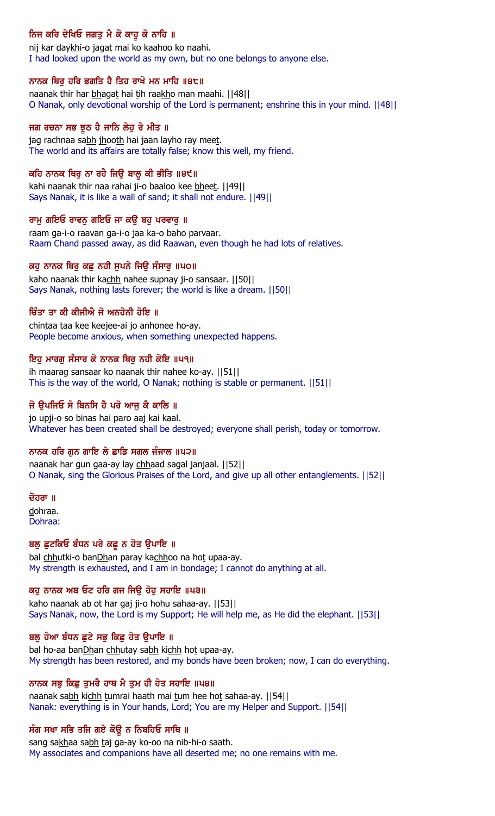# ਨਿਜ ਕਰਿ ਦੇਖਿਓ ਜਗਤੁ ਮੈ ਕੋ ਕਾਹੂ ਕੋ ਨਾਹਿ ॥

nij kar daykhi-o jagat mai ko kaahoo ko naahi. I had looked upon the world as my own, but no one belongs to anyone else.

## ਨਾਨਕ ਥਿਰੂ ਹਰਿ ਭਗਤਿ ਹੈ ਤਿਹ ਰਾਖੋ ਮਨ ਮਾਹਿ ॥੪੮॥

naanak thir har bhagat hai tih raakho man maahi. [[48]] O Nanak, only devotional worship of the Lord is permanent; enshrine this in your mind. ||48||

#### ਜਗ ਰਚਨਾ ਸਭ ਝੂਠ ਹੈ ਜਾਨਿ ਲੇਹੂ ਰੇ ਮੀਤ ॥

jag rachnaa sabh jhooth hai jaan layho ray meet. The world and its affairs are totally false; know this well, my friend.

#### ਕਹਿ ਨਾਨਕ ਥਿਰੂ ਨਾ ਰਹੇ ਜਿਉ ਬਾਲੂ ਕੀ ਭੀਤਿ ॥੪੯॥

kahi naanak thir naa rahai ji-o baaloo kee bheet. [[49]] Says Nanak, it is like a wall of sand; it shall not endure. ||49||

#### ਰਾਮ ਗਇਓ ਰਾਵਨ ਗਇਓ ਜਾ ਕੳ ਬਹ ਪਰਵਾਰ ॥

raam ga-i-o raavan ga-i-o jaa ka-o baho parvaar. Raam Chand passed away, as did Raawan, even though he had lots of relatives.

#### ਕਹ ਨਾਨਕ ਥਿਰ ਕਛ ਨਹੀ ਸਪਨੇ ਜਿੳ ਸੰਸਾਰ ॥੫੦॥

kaho naanak thir kachh nahee supnay ji-o sansaar. | [50] | Says Nanak, nothing lasts forever; the world is like a dream. ||50||

#### ਚਿੰਤਾ ਤਾ ਕੀ ਕੀਜੀਐ ਜੋ ਅਨਹੋਨੀ ਹੋਇ ॥

chintaa taa kee keejee-ai jo anhonee ho-ay. People become anxious, when something unexpected happens.

#### ਇਹੂ ਮਾਰਗੂ ਸੰਸਾਰ ਕੋ ਨਾਨਕ ਥਿਰੂ ਨਹੀ ਕੋਇ ॥੫੧॥

ih maarag sansaar ko naanak thir nahee ko-ay. ||51|| This is the way of the world, O Nanak; nothing is stable or permanent. ||51||

#### ਜੋ ੳਪਜਿਓ ਸੋ ਬਿਨਸਿ ਹੈ ਪਰੋ ਆਜ ਕੈ ਕਾਲਿ ॥

jo upji-o so binas hai paro aaj kai kaal. Whatever has been created shall be destroyed; everyone shall perish, today or tomorrow.

## ਨਾਨਕ ਹਰਿ ਗਨ ਗਾਇ ਲੇ ਛਾਡਿ ਸਗਲ ਜੰਜਾਲ ॥੫੨॥

naanak har gun gaa-ay lay chhaad sagal janjaal. ||52|| O Nanak, sing the Glorious Praises of the Lord, and give up all other entanglements. ||52||

ਦੋਹਰਾ ॥ dohraa. Dohraa:

## ਬਲ ਛਟਕਿਓ ਬੰਧਨ ਪਰੇ ਕਛ ਨ ਹੋਤ ੳਪਾਇ ॥

bal chhutki-o banDhan paray kachhoo na hot upaa-ay. My strength is exhausted, and I am in bondage; I cannot do anything at all.

## ਕਹੁ ਨਾਨਕ ਅਬ ਓਟ ਹਰਿ ਗਜ ਜਿਉ ਹੋਹੁ ਸਹਾਇ ॥੫੩॥

kaho naanak ab ot har gaj ji-o hohu sahaa-ay. ||53|| Says Nanak, now, the Lord is my Support; He will help me, as He did the elephant. ||53||

#### ਬਲੂ ਹੋਆ ਬੰਧਨ ਛੁਟੇ ਸਭੂ ਕਿਛੂ ਹੋਤ ਉਪਾਇ ॥

bal ho-aa banDhan chhutay sabh kichh hot upaa-ay. My strength has been restored, and my bonds have been broken; now, I can do everything.

#### ਨਾਨਕ ਸਭੁ ਕਿਛੁ ਤੁਮਰੈ ਹਾਥ ਮੈ ਤੁਮ ਹੀ ਹੋਤ ਸਹਾਇ ॥੫੪॥

naanak sabh kichh tumrai haath mai tum hee hot sahaa-ay. ||54|| Nanak: everything is in Your hands, Lord; You are my Helper and Support. ||54||

## ਸੰਗ ਸਖਾ ਸਭਿ ਤਜਿ ਗਏ ਕੋਉ ਨ ਨਿਬਹਿਓ ਸਾਥਿ ॥

sang sakhaa sabh taj ga-ay ko-oo na nib-hi-o saath. My associates and companions have all deserted me; no one remains with me.